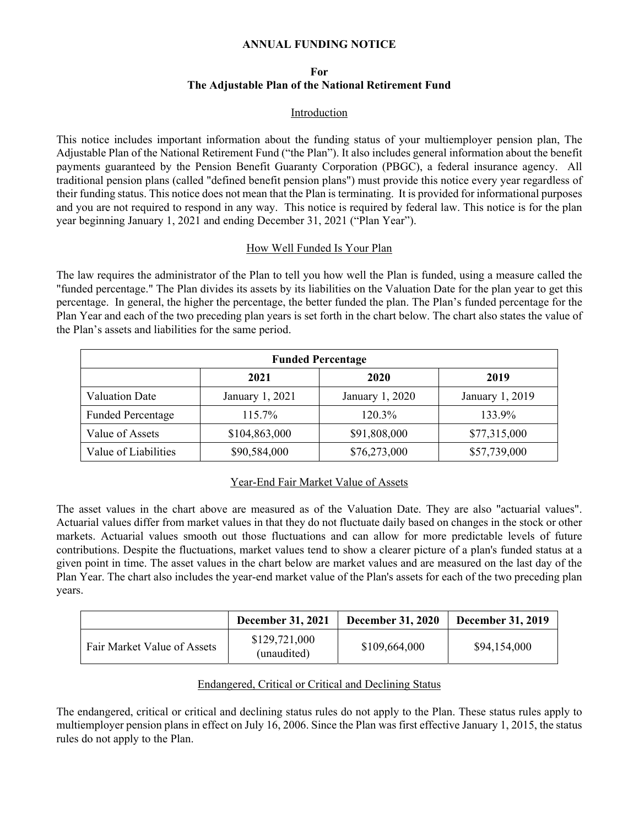#### **ANNUAL FUNDING NOTICE**

## **For The Adjustable Plan of the National Retirement Fund**

#### Introduction

This notice includes important information about the funding status of your multiemployer pension plan, The Adjustable Plan of the National Retirement Fund ("the Plan"). It also includes general information about the benefit payments guaranteed by the Pension Benefit Guaranty Corporation (PBGC), a federal insurance agency. All traditional pension plans (called "defined benefit pension plans") must provide this notice every year regardless of their funding status. This notice does not mean that the Plan is terminating. It is provided for informational purposes and you are not required to respond in any way. This notice is required by federal law. This notice is for the plan year beginning January 1, 2021 and ending December 31, 2021 ("Plan Year").

#### How Well Funded Is Your Plan

The law requires the administrator of the Plan to tell you how well the Plan is funded, using a measure called the "funded percentage." The Plan divides its assets by its liabilities on the Valuation Date for the plan year to get this percentage. In general, the higher the percentage, the better funded the plan. The Plan's funded percentage for the Plan Year and each of the two preceding plan years is set forth in the chart below. The chart also states the value of the Plan's assets and liabilities for the same period.

| <b>Funded Percentage</b> |                 |                 |                 |  |
|--------------------------|-----------------|-----------------|-----------------|--|
|                          | 2021            | 2020            | 2019            |  |
| <b>Valuation Date</b>    | January 1, 2021 | January 1, 2020 | January 1, 2019 |  |
| <b>Funded Percentage</b> | $115.7\%$       | 120.3%          | 133.9%          |  |
| Value of Assets          | \$104,863,000   | \$91,808,000    | \$77,315,000    |  |
| Value of Liabilities     | \$90,584,000    | \$76,273,000    | \$57,739,000    |  |

# Year-End Fair Market Value of Assets

The asset values in the chart above are measured as of the Valuation Date. They are also "actuarial values". Actuarial values differ from market values in that they do not fluctuate daily based on changes in the stock or other markets. Actuarial values smooth out those fluctuations and can allow for more predictable levels of future contributions. Despite the fluctuations, market values tend to show a clearer picture of a plan's funded status at a given point in time. The asset values in the chart below are market values and are measured on the last day of the Plan Year. The chart also includes the year-end market value of the Plan's assets for each of the two preceding plan years.

|                             | <b>December 31, 2021</b>     | <b>December 31, 2020</b> | <b>December 31, 2019</b> |
|-----------------------------|------------------------------|--------------------------|--------------------------|
| Fair Market Value of Assets | \$129,721,000<br>(unaudited) | \$109,664,000            | \$94,154,000             |

#### Endangered, Critical or Critical and Declining Status

The endangered, critical or critical and declining status rules do not apply to the Plan. These status rules apply to multiemployer pension plans in effect on July 16, 2006. Since the Plan was first effective January 1, 2015, the status rules do not apply to the Plan.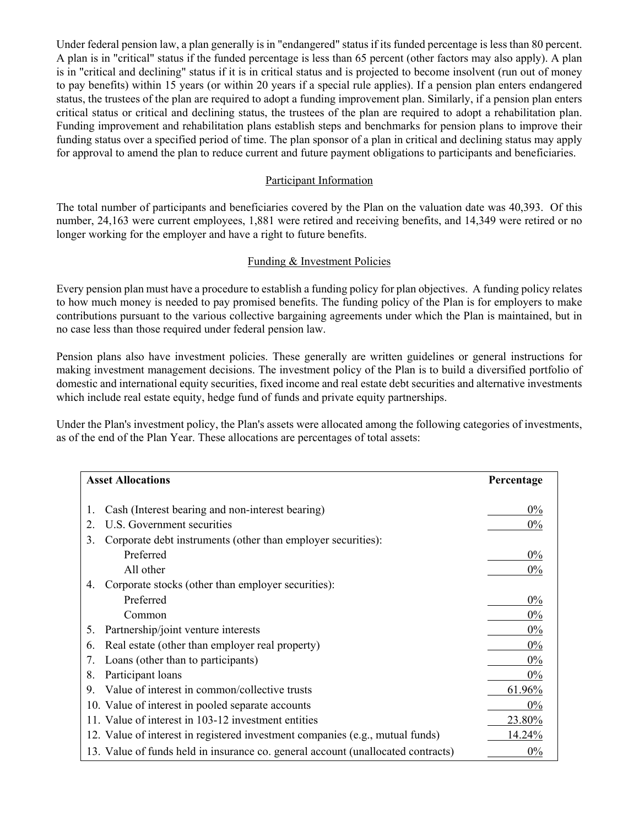Under federal pension law, a plan generally is in "endangered" status if its funded percentage is less than 80 percent. A plan is in "critical" status if the funded percentage is less than 65 percent (other factors may also apply). A plan is in "critical and declining" status if it is in critical status and is projected to become insolvent (run out of money to pay benefits) within 15 years (or within 20 years if a special rule applies). If a pension plan enters endangered status, the trustees of the plan are required to adopt a funding improvement plan. Similarly, if a pension plan enters critical status or critical and declining status, the trustees of the plan are required to adopt a rehabilitation plan. Funding improvement and rehabilitation plans establish steps and benchmarks for pension plans to improve their funding status over a specified period of time. The plan sponsor of a plan in critical and declining status may apply for approval to amend the plan to reduce current and future payment obligations to participants and beneficiaries.

# Participant Information

The total number of participants and beneficiaries covered by the Plan on the valuation date was 40,393. Of this number, 24,163 were current employees, 1,881 were retired and receiving benefits, and 14,349 were retired or no longer working for the employer and have a right to future benefits.

## Funding & Investment Policies

Every pension plan must have a procedure to establish a funding policy for plan objectives. A funding policy relates to how much money is needed to pay promised benefits. The funding policy of the Plan is for employers to make contributions pursuant to the various collective bargaining agreements under which the Plan is maintained, but in no case less than those required under federal pension law.

Pension plans also have investment policies. These generally are written guidelines or general instructions for making investment management decisions. The investment policy of the Plan is to build a diversified portfolio of domestic and international equity securities, fixed income and real estate debt securities and alternative investments which include real estate equity, hedge fund of funds and private equity partnerships.

Under the Plan's investment policy, the Plan's assets were allocated among the following categories of investments, as of the end of the Plan Year. These allocations are percentages of total assets:

| <b>Asset Allocations</b>                                                         | Percentage |
|----------------------------------------------------------------------------------|------------|
|                                                                                  |            |
| Cash (Interest bearing and non-interest bearing)<br>1.                           | $0\%$      |
| U.S. Government securities<br>2.                                                 | $0\%$      |
| Corporate debt instruments (other than employer securities):<br>3.               |            |
| Preferred                                                                        | $0\%$      |
| All other                                                                        | $0\%$      |
| Corporate stocks (other than employer securities):<br>4.                         |            |
| Preferred                                                                        | $0\%$      |
| Common                                                                           | $0\%$      |
| Partnership/joint venture interests<br>5.                                        | 0%         |
| Real estate (other than employer real property)<br>6.                            | $0\%$      |
| Loans (other than to participants)<br>7.                                         | $0\%$      |
| Participant loans<br>8.                                                          | $0\%$      |
| Value of interest in common/collective trusts<br>9.                              | 61.96%     |
| 10. Value of interest in pooled separate accounts                                | $0\%$      |
| 11. Value of interest in 103-12 investment entities                              | 23.80%     |
| 12. Value of interest in registered investment companies (e.g., mutual funds)    | 14.24%     |
| 13. Value of funds held in insurance co. general account (unallocated contracts) | $0\%$      |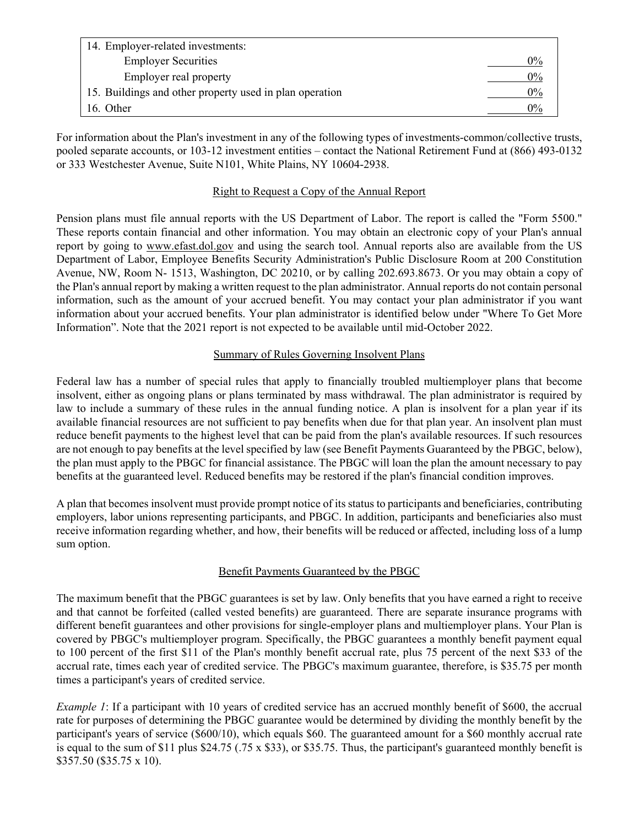| 14. Employer-related investments:                       |       |
|---------------------------------------------------------|-------|
| <b>Employer Securities</b>                              | 0%    |
| Employer real property                                  | $0\%$ |
| 15. Buildings and other property used in plan operation | $0\%$ |
| 16. Other                                               | 0%    |

For information about the Plan's investment in any of the following types of investments-common/collective trusts, pooled separate accounts, or 103-12 investment entities – contact the National Retirement Fund at (866) 493-0132 or 333 Westchester Avenue, Suite N101, White Plains, NY 10604-2938.

## Right to Request a Copy of the Annual Report

Pension plans must file annual reports with the US Department of Labor. The report is called the "Form 5500." These reports contain financial and other information. You may obtain an electronic copy of your Plan's annual report by going to www.efast.dol.gov and using the search tool. Annual reports also are available from the US Department of Labor, Employee Benefits Security Administration's Public Disclosure Room at 200 Constitution Avenue, NW, Room N- 1513, Washington, DC 20210, or by calling 202.693.8673. Or you may obtain a copy of the Plan's annual report by making a written request to the plan administrator. Annual reports do not contain personal information, such as the amount of your accrued benefit. You may contact your plan administrator if you want information about your accrued benefits. Your plan administrator is identified below under "Where To Get More Information". Note that the 2021 report is not expected to be available until mid-October 2022.

# Summary of Rules Governing Insolvent Plans

Federal law has a number of special rules that apply to financially troubled multiemployer plans that become insolvent, either as ongoing plans or plans terminated by mass withdrawal. The plan administrator is required by law to include a summary of these rules in the annual funding notice. A plan is insolvent for a plan year if its available financial resources are not sufficient to pay benefits when due for that plan year. An insolvent plan must reduce benefit payments to the highest level that can be paid from the plan's available resources. If such resources are not enough to pay benefits at the level specified by law (see Benefit Payments Guaranteed by the PBGC, below), the plan must apply to the PBGC for financial assistance. The PBGC will loan the plan the amount necessary to pay benefits at the guaranteed level. Reduced benefits may be restored if the plan's financial condition improves.

A plan that becomes insolvent must provide prompt notice of its status to participants and beneficiaries, contributing employers, labor unions representing participants, and PBGC. In addition, participants and beneficiaries also must receive information regarding whether, and how, their benefits will be reduced or affected, including loss of a lump sum option.

# Benefit Payments Guaranteed by the PBGC

The maximum benefit that the PBGC guarantees is set by law. Only benefits that you have earned a right to receive and that cannot be forfeited (called vested benefits) are guaranteed. There are separate insurance programs with different benefit guarantees and other provisions for single-employer plans and multiemployer plans. Your Plan is covered by PBGC's multiemployer program. Specifically, the PBGC guarantees a monthly benefit payment equal to 100 percent of the first \$11 of the Plan's monthly benefit accrual rate, plus 75 percent of the next \$33 of the accrual rate, times each year of credited service. The PBGC's maximum guarantee, therefore, is \$35.75 per month times a participant's years of credited service.

*Example 1*: If a participant with 10 years of credited service has an accrued monthly benefit of \$600, the accrual rate for purposes of determining the PBGC guarantee would be determined by dividing the monthly benefit by the participant's years of service (\$600/10), which equals \$60. The guaranteed amount for a \$60 monthly accrual rate is equal to the sum of \$11 plus \$24.75 (.75 x \$33), or \$35.75. Thus, the participant's guaranteed monthly benefit is \$357.50 (\$35.75 x 10).